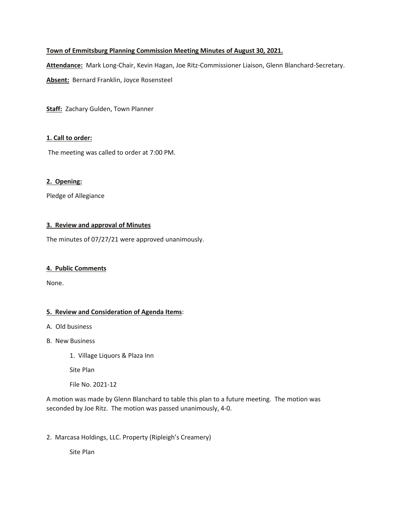# **Town of Emmitsburg Planning Commission Meeting Minutes of August 30, 2021.**

**Attendance:** Mark Long-Chair, Kevin Hagan, Joe Ritz-Commissioner Liaison, Glenn Blanchard-Secretary.

**Absent:** Bernard Franklin, Joyce Rosensteel

**Staff:** Zachary Gulden, Town Planner

### **1. Call to order:**

The meeting was called to order at 7:00 PM.

## **2. Opening:**

Pledge of Allegiance

## **3. Review and approval of Minutes**

The minutes of 07/27/21 were approved unanimously.

#### **4. Public Comments**

None.

## **5. Review and Consideration of Agenda Items**:

- A. Old business
- B. New Business
	- 1. Village Liquors & Plaza Inn

Site Plan

File No. 2021-12

A motion was made by Glenn Blanchard to table this plan to a future meeting. The motion was seconded by Joe Ritz. The motion was passed unanimously, 4-0.

2. Marcasa Holdings, LLC. Property (Ripleigh's Creamery)

Site Plan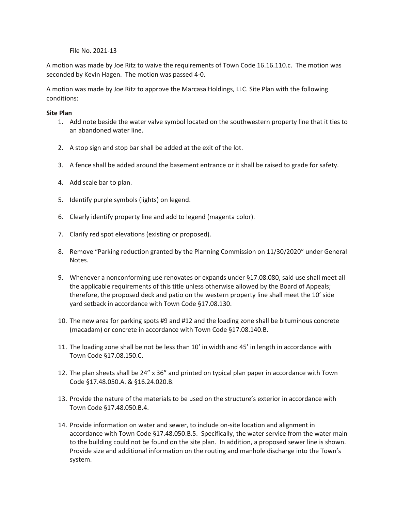#### File No. 2021-13

A motion was made by Joe Ritz to waive the requirements of Town Code 16.16.110.c. The motion was seconded by Kevin Hagen. The motion was passed 4-0.

A motion was made by Joe Ritz to approve the Marcasa Holdings, LLC. Site Plan with the following conditions:

#### **Site Plan**

- 1. Add note beside the water valve symbol located on the southwestern property line that it ties to an abandoned water line.
- 2. A stop sign and stop bar shall be added at the exit of the lot.
- 3. A fence shall be added around the basement entrance or it shall be raised to grade for safety.
- 4. Add scale bar to plan.
- 5. Identify purple symbols (lights) on legend.
- 6. Clearly identify property line and add to legend (magenta color).
- 7. Clarify red spot elevations (existing or proposed).
- 8. Remove "Parking reduction granted by the Planning Commission on 11/30/2020" under General Notes.
- 9. Whenever a nonconforming use renovates or expands under §17.08.080, said use shall meet all the applicable requirements of this title unless otherwise allowed by the Board of Appeals; therefore, the proposed deck and patio on the western property line shall meet the 10' side yard setback in accordance with Town Code §17.08.130.
- 10. The new area for parking spots #9 and #12 and the loading zone shall be bituminous concrete (macadam) or concrete in accordance with Town Code §17.08.140.B.
- 11. The loading zone shall be not be less than 10' in width and 45' in length in accordance with Town Code §17.08.150.C.
- 12. The plan sheets shall be 24" x 36" and printed on typical plan paper in accordance with Town Code §17.48.050.A. & §16.24.020.B.
- 13. Provide the nature of the materials to be used on the structure's exterior in accordance with Town Code §17.48.050.B.4.
- 14. Provide information on water and sewer, to include on-site location and alignment in accordance with Town Code §17.48.050.B.5. Specifically, the water service from the water main to the building could not be found on the site plan. In addition, a proposed sewer line is shown. Provide size and additional information on the routing and manhole discharge into the Town's system.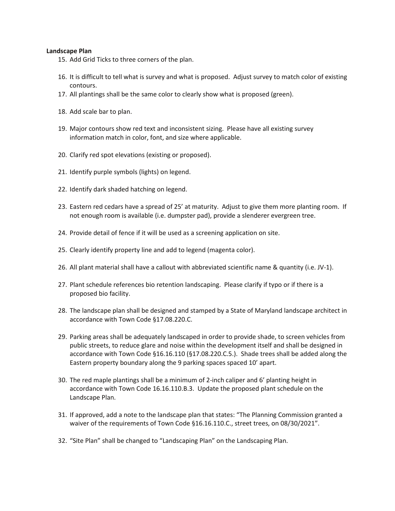#### **Landscape Plan**

- 15. Add Grid Ticks to three corners of the plan.
- 16. It is difficult to tell what is survey and what is proposed. Adjust survey to match color of existing contours.
- 17. All plantings shall be the same color to clearly show what is proposed (green).
- 18. Add scale bar to plan.
- 19. Major contours show red text and inconsistent sizing. Please have all existing survey information match in color, font, and size where applicable.
- 20. Clarify red spot elevations (existing or proposed).
- 21. Identify purple symbols (lights) on legend.
- 22. Identify dark shaded hatching on legend.
- 23. Eastern red cedars have a spread of 25' at maturity. Adjust to give them more planting room. If not enough room is available (i.e. dumpster pad), provide a slenderer evergreen tree.
- 24. Provide detail of fence if it will be used as a screening application on site.
- 25. Clearly identify property line and add to legend (magenta color).
- 26. All plant material shall have a callout with abbreviated scientific name & quantity (i.e. JV-1).
- 27. Plant schedule references bio retention landscaping. Please clarify if typo or if there is a proposed bio facility.
- 28. The landscape plan shall be designed and stamped by a State of Maryland landscape architect in accordance with Town Code §17.08.220.C.
- 29. Parking areas shall be adequately landscaped in order to provide shade, to screen vehicles from public streets, to reduce glare and noise within the development itself and shall be designed in accordance with Town Code §16.16.110 (§17.08.220.C.5.). Shade trees shall be added along the Eastern property boundary along the 9 parking spaces spaced 10' apart.
- 30. The red maple plantings shall be a minimum of 2-inch caliper and 6' planting height in accordance with Town Code 16.16.110.B.3. Update the proposed plant schedule on the Landscape Plan.
- 31. If approved, add a note to the landscape plan that states: "The Planning Commission granted a waiver of the requirements of Town Code §16.16.110.C., street trees, on 08/30/2021".
- 32. "Site Plan" shall be changed to "Landscaping Plan" on the Landscaping Plan.